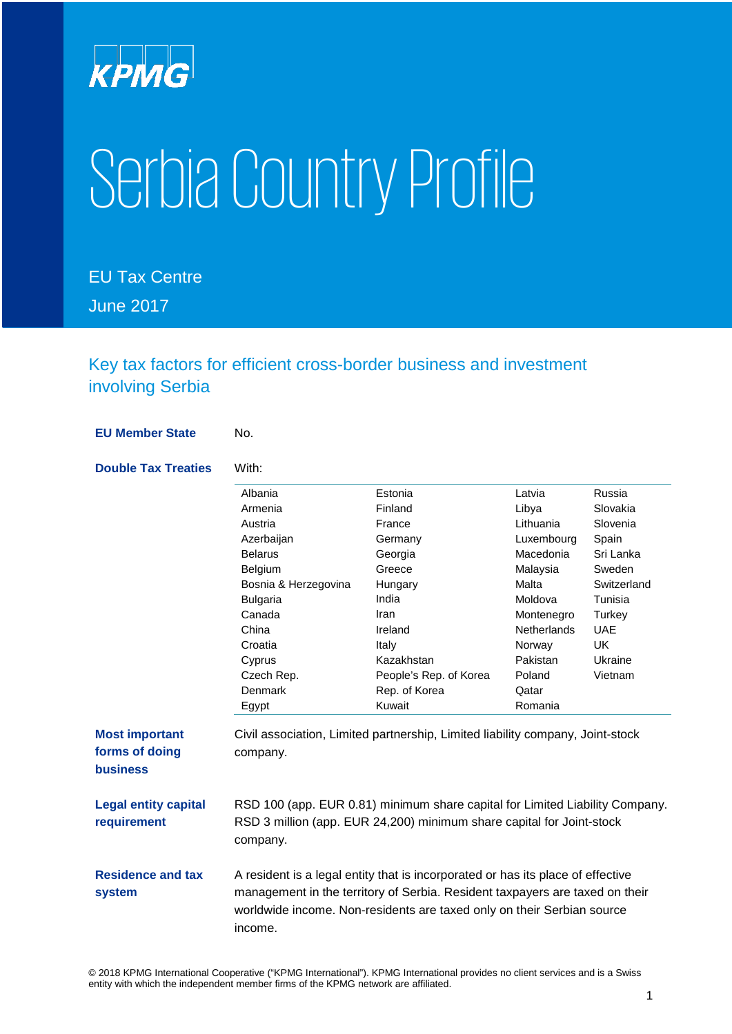

# SerbiaCountry Profile

EU Tax Centre June 2017

Key tax factors for efficient cross-border business and investment involving Serbia

**EU Member State** No. **Double Tax Treaties** With: Albania Armenia Austria **Azerbaijan** Belarus Belgium Bosnia & Herzegovina Bulgaria Canada China Croatia Cyprus Czech Rep. Denmark Egypt Estonia Finland France Germany Georgia Greece Hungary India Iran Ireland Italy Kazakhstan People's Rep. of Korea Rep. of Korea Kuwait Latvia Libya Lithuania Luxembourg Macedonia Malaysia Malta Moldova Montenegro **Netherlands** Norway Pakistan Poland **Qatar** Romania Russia Slovakia Slovenia Spain Sri Lanka Sweden **Switzerland** Tunisia **Turkey** UAE UK Ukraine Vietnam **Most important forms of doing business** Civil association, Limited partnership, Limited liability company, Joint-stock company. **Legal entity capital requirement** RSD 100 (app. EUR 0.81) minimum share capital for Limited Liability Company. RSD 3 million (app. EUR 24,200) minimum share capital for Joint-stock company. **Residence and tax system** A resident is a legal entity that is incorporated or has its place of effective management in the territory of Serbia. Resident taxpayers are taxed on their worldwide income. Non-residents are taxed only on their Serbian source income.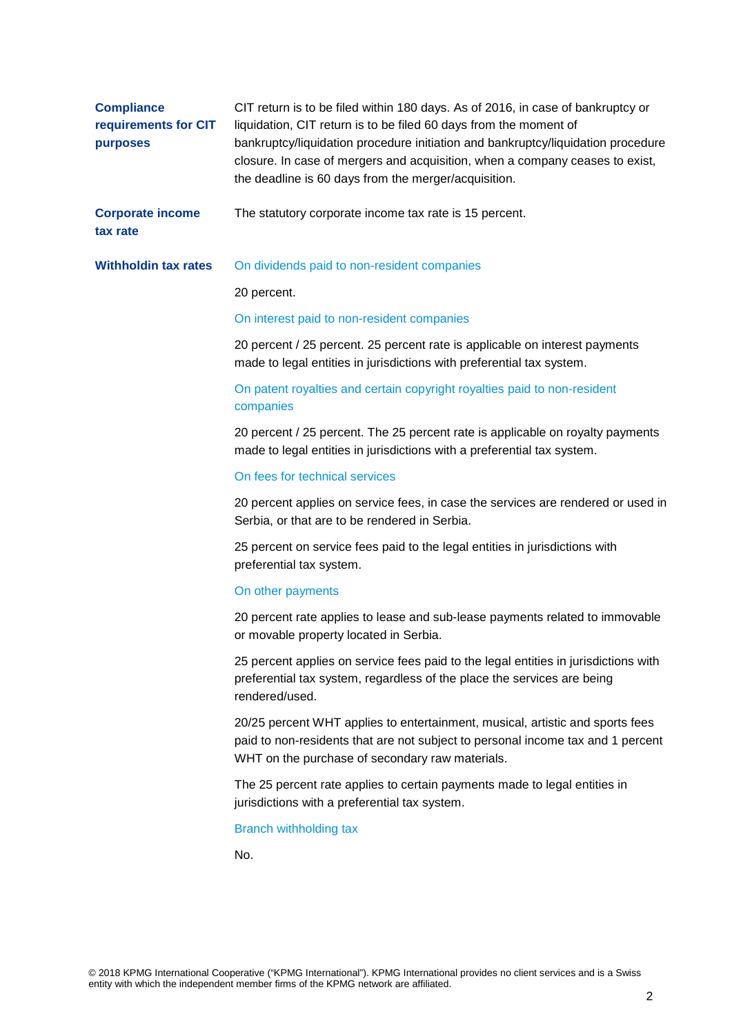| <b>Compliance</b><br>requirements for CIT<br>purposes | CIT return is to be filed within 180 days. As of 2016, in case of bankruptcy or<br>liquidation, CIT return is to be filed 60 days from the moment of<br>bankruptcy/liquidation procedure initiation and bankruptcy/liquidation procedure<br>closure. In case of mergers and acquisition, when a company ceases to exist,<br>the deadline is 60 days from the merger/acquisition. |
|-------------------------------------------------------|----------------------------------------------------------------------------------------------------------------------------------------------------------------------------------------------------------------------------------------------------------------------------------------------------------------------------------------------------------------------------------|
| <b>Corporate income</b><br>tax rate                   | The statutory corporate income tax rate is 15 percent.                                                                                                                                                                                                                                                                                                                           |
| <b>Withholdin tax rates</b>                           | On dividends paid to non-resident companies                                                                                                                                                                                                                                                                                                                                      |
|                                                       | 20 percent.                                                                                                                                                                                                                                                                                                                                                                      |
|                                                       | On interest paid to non-resident companies                                                                                                                                                                                                                                                                                                                                       |
|                                                       | 20 percent / 25 percent. 25 percent rate is applicable on interest payments<br>made to legal entities in jurisdictions with preferential tax system.                                                                                                                                                                                                                             |
|                                                       | On patent royalties and certain copyright royalties paid to non-resident<br>companies                                                                                                                                                                                                                                                                                            |
|                                                       | 20 percent / 25 percent. The 25 percent rate is applicable on royalty payments<br>made to legal entities in jurisdictions with a preferential tax system.                                                                                                                                                                                                                        |
|                                                       | On fees for technical services                                                                                                                                                                                                                                                                                                                                                   |
|                                                       | 20 percent applies on service fees, in case the services are rendered or used in<br>Serbia, or that are to be rendered in Serbia.                                                                                                                                                                                                                                                |
|                                                       | 25 percent on service fees paid to the legal entities in jurisdictions with<br>preferential tax system.                                                                                                                                                                                                                                                                          |
|                                                       | On other payments                                                                                                                                                                                                                                                                                                                                                                |
|                                                       | 20 percent rate applies to lease and sub-lease payments related to immovable<br>or movable property located in Serbia.                                                                                                                                                                                                                                                           |
|                                                       | 25 percent applies on service fees paid to the legal entities in jurisdictions with<br>preferential tax system, regardless of the place the services are being<br>rendered/used.                                                                                                                                                                                                 |
|                                                       | 20/25 percent WHT applies to entertainment, musical, artistic and sports fees<br>paid to non-residents that are not subject to personal income tax and 1 percent<br>WHT on the purchase of secondary raw materials.                                                                                                                                                              |
|                                                       | The 25 percent rate applies to certain payments made to legal entities in<br>jurisdictions with a preferential tax system.                                                                                                                                                                                                                                                       |
|                                                       | <b>Branch withholding tax</b>                                                                                                                                                                                                                                                                                                                                                    |
|                                                       | No.                                                                                                                                                                                                                                                                                                                                                                              |
|                                                       |                                                                                                                                                                                                                                                                                                                                                                                  |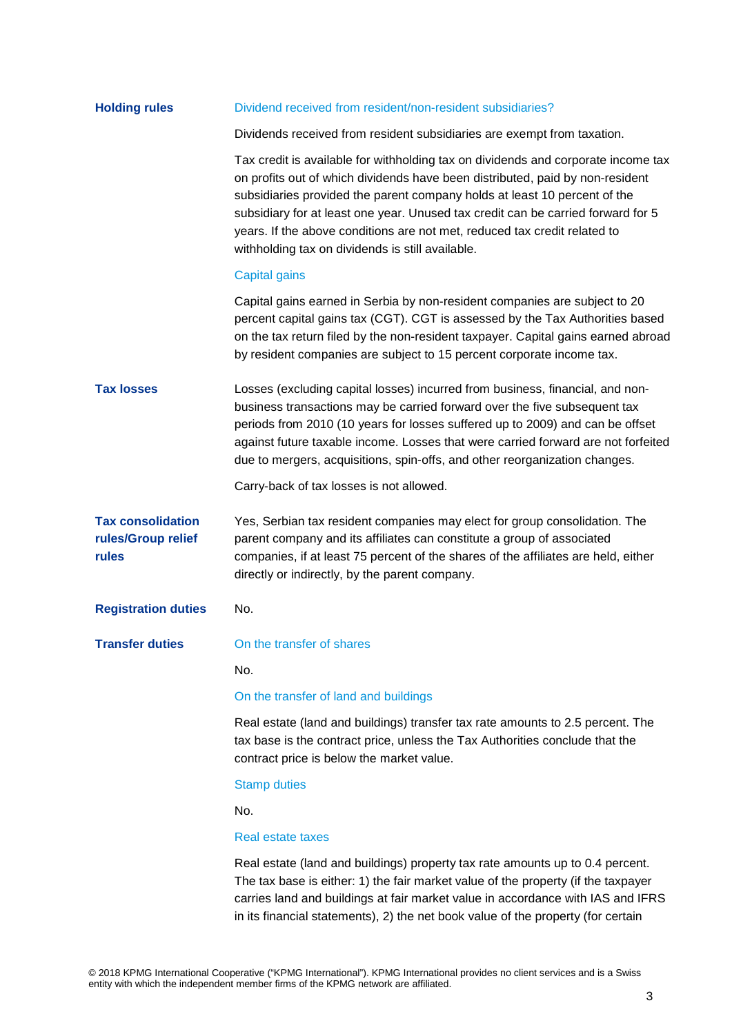| <b>Holding rules</b>                                    | Dividend received from resident/non-resident subsidiaries?                                                                                                                                                                                                                                                                                                                                                                                                           |
|---------------------------------------------------------|----------------------------------------------------------------------------------------------------------------------------------------------------------------------------------------------------------------------------------------------------------------------------------------------------------------------------------------------------------------------------------------------------------------------------------------------------------------------|
|                                                         | Dividends received from resident subsidiaries are exempt from taxation.                                                                                                                                                                                                                                                                                                                                                                                              |
|                                                         | Tax credit is available for withholding tax on dividends and corporate income tax<br>on profits out of which dividends have been distributed, paid by non-resident<br>subsidiaries provided the parent company holds at least 10 percent of the<br>subsidiary for at least one year. Unused tax credit can be carried forward for 5<br>years. If the above conditions are not met, reduced tax credit related to<br>withholding tax on dividends is still available. |
|                                                         | Capital gains                                                                                                                                                                                                                                                                                                                                                                                                                                                        |
|                                                         | Capital gains earned in Serbia by non-resident companies are subject to 20<br>percent capital gains tax (CGT). CGT is assessed by the Tax Authorities based<br>on the tax return filed by the non-resident taxpayer. Capital gains earned abroad<br>by resident companies are subject to 15 percent corporate income tax.                                                                                                                                            |
| <b>Tax losses</b>                                       | Losses (excluding capital losses) incurred from business, financial, and non-<br>business transactions may be carried forward over the five subsequent tax<br>periods from 2010 (10 years for losses suffered up to 2009) and can be offset<br>against future taxable income. Losses that were carried forward are not forfeited<br>due to mergers, acquisitions, spin-offs, and other reorganization changes.                                                       |
|                                                         | Carry-back of tax losses is not allowed.                                                                                                                                                                                                                                                                                                                                                                                                                             |
| <b>Tax consolidation</b><br>rules/Group relief<br>rules | Yes, Serbian tax resident companies may elect for group consolidation. The<br>parent company and its affiliates can constitute a group of associated<br>companies, if at least 75 percent of the shares of the affiliates are held, either<br>directly or indirectly, by the parent company.                                                                                                                                                                         |
| <b>Registration duties</b>                              | No.                                                                                                                                                                                                                                                                                                                                                                                                                                                                  |
| <b>Transfer duties</b>                                  | On the transfer of shares                                                                                                                                                                                                                                                                                                                                                                                                                                            |
|                                                         | No.                                                                                                                                                                                                                                                                                                                                                                                                                                                                  |
|                                                         | On the transfer of land and buildings                                                                                                                                                                                                                                                                                                                                                                                                                                |
|                                                         | Real estate (land and buildings) transfer tax rate amounts to 2.5 percent. The<br>tax base is the contract price, unless the Tax Authorities conclude that the<br>contract price is below the market value.                                                                                                                                                                                                                                                          |
|                                                         | <b>Stamp duties</b>                                                                                                                                                                                                                                                                                                                                                                                                                                                  |
|                                                         | No.                                                                                                                                                                                                                                                                                                                                                                                                                                                                  |
|                                                         | Real estate taxes                                                                                                                                                                                                                                                                                                                                                                                                                                                    |
|                                                         | Real estate (land and buildings) property tax rate amounts up to 0.4 percent.<br>The tax base is either: 1) the fair market value of the property (if the taxpayer<br>carries land and buildings at fair market value in accordance with IAS and IFRS                                                                                                                                                                                                                |

in its financial statements), 2) the net book value of the property (for certain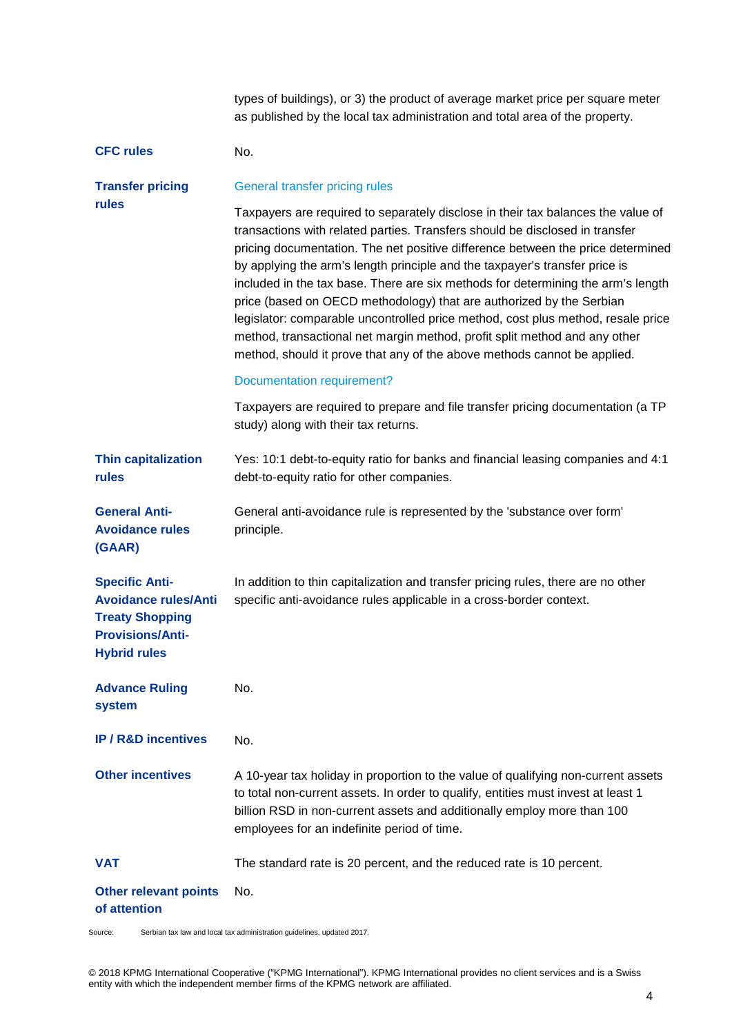types of buildings), or 3) the product of average market price per square meter as published by the local tax administration and total area of the property.

# **CFC rules** No.

#### **Transfer pricing rules** General transfer pricing rules

Taxpayers are required to separately disclose in their tax balances the value of transactions with related parties. Transfers should be disclosed in transfer pricing documentation. The net positive difference between the price determined by applying the arm's length principle and the taxpayer's transfer price is included in the tax base. There are six methods for determining the arm's length price (based on OECD methodology) that are authorized by the Serbian legislator: comparable uncontrolled price method, cost plus method, resale price method, transactional net margin method, profit split method and any other method, should it prove that any of the above methods cannot be applied.

# Documentation requirement?

Taxpayers are required to prepare and file transfer pricing documentation (a TP study) along with their tax returns.

**Thin capitalization rules** Yes: 10:1 debt-to-equity ratio for banks and financial leasing companies and 4:1 debt-to-equity ratio for other companies.

**General Anti-Avoidance rules**  General anti-avoidance rule is represented by the 'substance over form' principle.

**Specific Anti-Avoidance rules/Anti**  In addition to thin capitalization and transfer pricing rules, there are no other specific anti-avoidance rules applicable in a cross-border context.

**Treaty Shopping Provisions/Anti-Hybrid rules**

**(GAAR)**

**Advance Ruling system** No.

**IP/R&D incentives** No.

**Other incentives** A 10-year tax holiday in proportion to the value of qualifying non-current assets to total non-current assets. In order to qualify, entities must invest at least 1 billion RSD in non-current assets and additionally employ more than 100 employees for an indefinite period of time.

# **VAT** The standard rate is 20 percent, and the reduced rate is 10 percent.

#### **Other relevant points of attention** No.

Source: Serbian tax law and local tax administration guidelines, updated 2017.